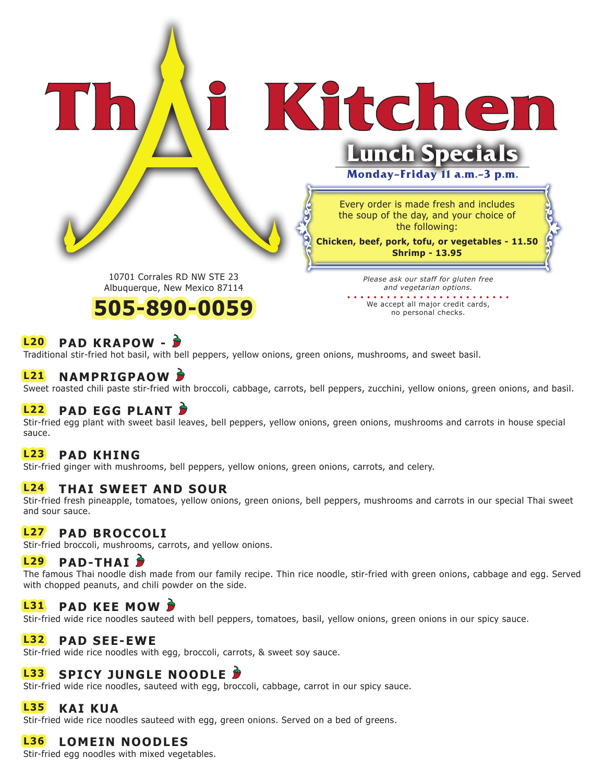Kitchen

#### 10701 Corrales RD NW STE 23 Albuquerque, New Mexico 87114



*Please ask our staff for gluten free and vegetarian options.*  **. . . . . . . . . . . . . . . . . . . . . . . . .** 

Every order is made fresh and includes the soup of the day, and your choice of the following: **Chicken, beef, pork, tofu, or vegetables - 11.50 Shrimp - 13.95**

**Lunch Specials**

**Monday-Friday 11 a.m.-3 p.m.** 

We accept all major credit cards, no personal checks.

## **L20 PAD KRAPOW -**

Traditional stir-fried hot basil, with bell peppers, yellow onions, green onions, mushrooms, and sweet basil.

### **L21 NAMPRIGPAOW**

Sweet roasted chili paste stir-fried with broccoli, cabbage, carrots, bell peppers, zucchini, yellow onions, green onions, and basil.

## **L22 PAD EGG PLANT**

Stir-fried egg plant with sweet basil leaves, bell peppers, yellow onions, green onions, mushrooms and carrots in house special sauce.

## **L23 PAD KHING**

Stir-fried ginger with mushrooms, bell peppers, yellow onions, green onions, carrots, and celery.

### **L24 THAI SWEET AND SOUR**

Stir-fried fresh pineapple, tomatoes, yellow onions, green onions, bell peppers, mushrooms and carrots in our special Thai sweet and sour sauce.

### **L27 PAD BROCCOLI**

Stir-fried broccoli, mushrooms, carrots, and yellow onions.

#### **L29 PAD-THAI**

The famous Thai noodle dish made from our family recipe. Thin rice noodle, stir-fried with green onions, cabbage and egg. Served with chopped peanuts, and chili powder on the side.

### **L31 PAD KEE MOW**

Stir-fried wide rice noodles sauteed with bell peppers, tomatoes, basil, yellow onions, green onions in our spicy sauce.

#### **L32 PAD SEE-EWE**

Stir-fried wide rice noodles with egg, broccoli, carrots, & sweet soy sauce.

## **L33 SPICY JUNGLE NOODLE**

Stir-fried wide rice noodles, sauteed with egg, broccoli, cabbage, carrot in our spicy sauce.

#### **L35 KAI KUA**

Stir-fried wide rice noodles sauteed with egg, green onions. Served on a bed of greens.

### **L36 LOMEIN NOODLES**

Stir-fried egg noodles with mixed vegetables.